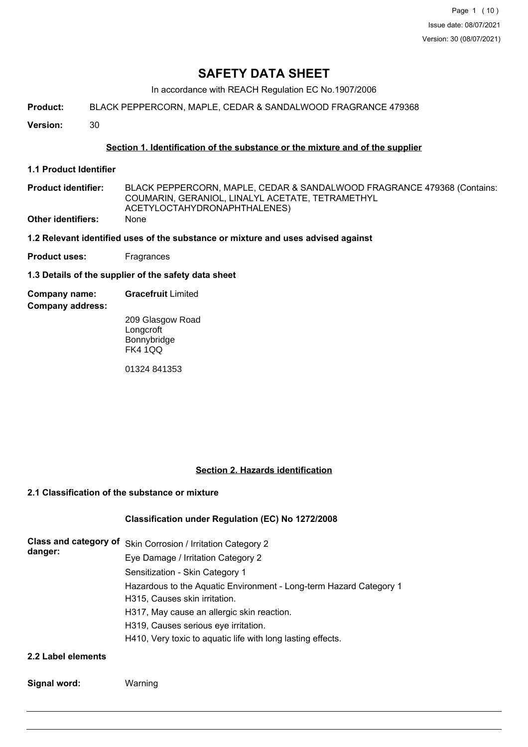Page 1 (10) Issue date: 08/07/2021 Version: 30 (08/07/2021)

# **SAFETY DATA SHEET**

In accordance with REACH Regulation EC No.1907/2006

**Product:** BLACK PEPPERCORN, MAPLE, CEDAR & SANDALWOOD FRAGRANCE 479368

**Version:** 30

## **Section 1. Identification of the substance or the mixture and of the supplier**

- **1.1 Product Identifier**
- BLACK PEPPERCORN, MAPLE, CEDAR & SANDALWOOD FRAGRANCE 479368 (Contains: COUMARIN, GERANIOL, LINALYL ACETATE, TETRAMETHYL ACETYLOCTAHYDRONAPHTHALENES) **Product identifier: Other identifiers:** None
- **1.2 Relevant identified uses of the substance or mixture and uses advised against**
- **Product uses:** Fragrances
- **1.3 Details of the supplier of the safety data sheet**
- **Company name: Gracefruit** Limited
- **Company address:**

209 Glasgow Road **Longcroft** Bonnybridge FK4 1QQ

01324 841353

## **Section 2. Hazards identification**

## **2.1 Classification of the substance or mixture**

## **Classification under Regulation (EC) No 1272/2008**

|         | Class and category of Skin Corrosion / Irritation Category 2       |  |  |  |  |
|---------|--------------------------------------------------------------------|--|--|--|--|
| danger: | Eye Damage / Irritation Category 2                                 |  |  |  |  |
|         | Sensitization - Skin Category 1                                    |  |  |  |  |
|         | Hazardous to the Aquatic Environment - Long-term Hazard Category 1 |  |  |  |  |
|         | H315, Causes skin irritation.                                      |  |  |  |  |
|         | H317, May cause an allergic skin reaction.                         |  |  |  |  |
|         | H319, Causes serious eye irritation.                               |  |  |  |  |
|         | H410, Very toxic to aquatic life with long lasting effects.        |  |  |  |  |
|         |                                                                    |  |  |  |  |

#### **2.2 Label elements**

| Signal word: | Warning |
|--------------|---------|
|--------------|---------|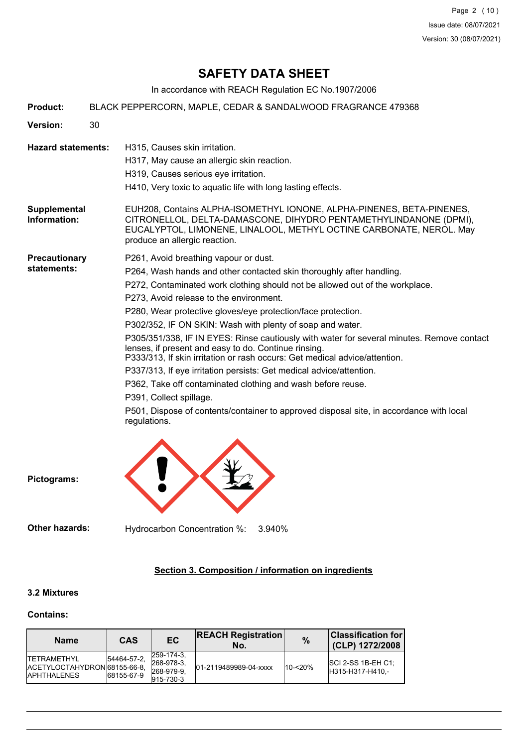Page 2 (10) Issue date: 08/07/2021 Version: 30 (08/07/2021)

# **SAFETY DATA SHEET**

In accordance with REACH Regulation EC No.1907/2006

| <b>Product:</b>                     | BLACK PEPPERCORN, MAPLE, CEDAR & SANDALWOOD FRAGRANCE 479368 |                                                                                                                                                                                                                                                                                                                                                                                                                                                                                                                                                                                                                                                                                                                                                                                                                                                                                      |  |  |  |
|-------------------------------------|--------------------------------------------------------------|--------------------------------------------------------------------------------------------------------------------------------------------------------------------------------------------------------------------------------------------------------------------------------------------------------------------------------------------------------------------------------------------------------------------------------------------------------------------------------------------------------------------------------------------------------------------------------------------------------------------------------------------------------------------------------------------------------------------------------------------------------------------------------------------------------------------------------------------------------------------------------------|--|--|--|
| <b>Version:</b>                     | 30                                                           |                                                                                                                                                                                                                                                                                                                                                                                                                                                                                                                                                                                                                                                                                                                                                                                                                                                                                      |  |  |  |
| <b>Hazard statements:</b>           |                                                              | H315, Causes skin irritation.<br>H317, May cause an allergic skin reaction.<br>H319, Causes serious eye irritation.<br>H410, Very toxic to aquatic life with long lasting effects.                                                                                                                                                                                                                                                                                                                                                                                                                                                                                                                                                                                                                                                                                                   |  |  |  |
| Supplemental<br>Information:        |                                                              | EUH208, Contains ALPHA-ISOMETHYL IONONE, ALPHA-PINENES, BETA-PINENES,<br>CITRONELLOL, DELTA-DAMASCONE, DIHYDRO PENTAMETHYLINDANONE (DPMI),<br>EUCALYPTOL, LIMONENE, LINALOOL, METHYL OCTINE CARBONATE, NEROL. May<br>produce an allergic reaction.                                                                                                                                                                                                                                                                                                                                                                                                                                                                                                                                                                                                                                   |  |  |  |
| <b>Precautionary</b><br>statements: |                                                              | P261, Avoid breathing vapour or dust.<br>P264, Wash hands and other contacted skin thoroughly after handling.<br>P272, Contaminated work clothing should not be allowed out of the workplace.<br>P273, Avoid release to the environment.<br>P280, Wear protective gloves/eye protection/face protection.<br>P302/352, IF ON SKIN: Wash with plenty of soap and water.<br>P305/351/338, IF IN EYES: Rinse cautiously with water for several minutes. Remove contact<br>lenses, if present and easy to do. Continue rinsing.<br>P333/313, If skin irritation or rash occurs: Get medical advice/attention.<br>P337/313, If eye irritation persists: Get medical advice/attention.<br>P362, Take off contaminated clothing and wash before reuse.<br>P391, Collect spillage.<br>P501, Dispose of contents/container to approved disposal site, in accordance with local<br>regulations. |  |  |  |
| Pictograms:                         |                                                              |                                                                                                                                                                                                                                                                                                                                                                                                                                                                                                                                                                                                                                                                                                                                                                                                                                                                                      |  |  |  |

**Other hazards:** Hydrocarbon Concentration %: 3.940%

## **Section 3. Composition / information on ingredients**

## **3.2 Mixtures**

#### **Contains:**

| <b>Name</b>                                                                 | CAS                       | EC.                                                            | <b>REACH Registration</b><br>No. | $\frac{9}{6}$ | <b>Classification for</b><br>(CLP) 1272/2008 |
|-----------------------------------------------------------------------------|---------------------------|----------------------------------------------------------------|----------------------------------|---------------|----------------------------------------------|
| <b>ITFTRAMFTHYL</b><br>IACETYLOCTAHYDRON 68155-66-8.<br><b>IAPHTHALENES</b> | 54464-57-2.<br>68155-67-9 | 259-174-3.<br>$ 268-978-3 $<br>268-979-9.<br>$ 915 - 730 - 3 $ | 01-2119489989-04-xxxx            | 10-<20%       | $ SCI 2-SS 1B-EH C1 $<br>H315-H317-H410.-    |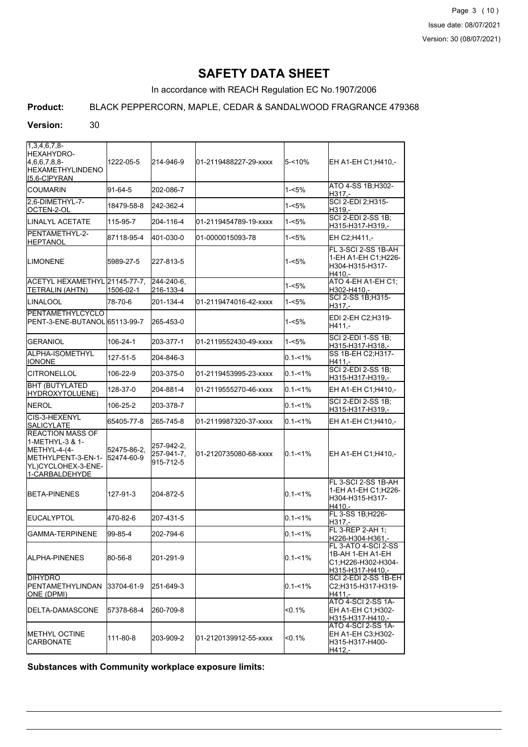In accordance with REACH Regulation EC No.1907/2006

## **Product:** BLACK PEPPERCORN, MAPLE, CEDAR & SANDALWOOD FRAGRANCE 479368

#### **Version:** 30

| $1,3,4,6,7,8$ -<br>HEXAHYDRO-<br>4,6,6,7,8,8-<br><b>HEXAMETHYLINDENO</b>                                                            | 1222-05-5   | 214-946-9                             | l01-2119488227-29-xxxx | $5 - 10%$   | EH A1-EH C1; H410,-                                                               |
|-------------------------------------------------------------------------------------------------------------------------------------|-------------|---------------------------------------|------------------------|-------------|-----------------------------------------------------------------------------------|
| [5,6-C]PYRAN<br><b>COUMARIN</b>                                                                                                     | 91-64-5     | 202-086-7                             |                        | $1 - 5%$    | ATO 4-SS 1B; H302-<br>H317.-                                                      |
| l2.6-DIMETHYL-7-<br>OCTEN-2-OL                                                                                                      | 18479-58-8  | 242-362-4                             |                        | 1-<5%       | SCI 2-EDI 2; H315-<br>H319.-                                                      |
| LINALYL ACETATE                                                                                                                     | 115-95-7    | 204-116-4                             | l01-2119454789-19-xxxx | $1 - 5%$    | <b>SCI 2-EDI 2-SS 1B;</b><br>H315-H317-H319,-                                     |
| PENTAMETHYL-2-<br><b>HEPTANOL</b>                                                                                                   | 87118-95-4  | 401-030-0                             | 01-0000015093-78       | 1-<5%       | EH C2:H411 .-                                                                     |
| <b>I</b> LIMONENE                                                                                                                   | 5989-27-5   | 227-813-5                             |                        | 1-<5%       | FL 3-SCI 2-SS 1B-AH<br>1-EH A1-EH C1; H226-<br>H304-H315-H317-<br>H410.-          |
| IACETYL HEXAMETHYL 21145-77-7.<br>TETRALIN (AHTN)                                                                                   | 1506-02-1   | 244-240-6.<br>216-133-4               |                        | $1 - 5%$    | ATO 4-EH A1-EH C1;<br>H302-H410.-                                                 |
| ILINALOOL                                                                                                                           | 78-70-6     | 201-134-4                             | l01-2119474016-42-xxxx | 1-<5%       | SCI 2-SS 1B; H315-<br>H317,-                                                      |
| PENTAMETHYLCYCLO<br>PENT-3-ENE-BUTANOL 65113-99-7                                                                                   |             | 265-453-0                             |                        | 1-<5%       | EDI 2-EH C2:H319-<br>H411,-                                                       |
| <b>IGERANIOL</b>                                                                                                                    | 106-24-1    | 203-377-1                             | l01-2119552430-49-xxxx | 1-<5%       | <b>SCI 2-EDI 1-SS 1B:</b><br>H315-H317-H318,-                                     |
| ALPHA-ISOMETHYL<br><b>IONONE</b>                                                                                                    | 127-51-5    | 204-846-3                             |                        | $0.1 - 1\%$ | SS 1B-EH C2;H317-<br>H411.-                                                       |
| <b>CITRONELLOL</b>                                                                                                                  | 106-22-9    | 203-375-0                             | l01-2119453995-23-xxxx | $0.1 - 1\%$ | <b>SCI 2-EDI 2-SS 1B:</b><br>H315-H317-H319,-                                     |
| <b>BHT (BUTYLATED)</b><br>HYDROXYTOLUENE)                                                                                           | 128-37-0    | 204-881-4                             | 01-2119555270-46-xxxx  | $0.1 - 1\%$ | EH A1-EH C1; H410,-                                                               |
| NEROL                                                                                                                               | 106-25-2    | 203-378-7                             |                        | $0.1 - 1\%$ | SCI 2-EDI 2-SS 1B;<br>H315-H317-H319,-                                            |
| ICIS-3-HEXENYL<br><b>SALICYLATE</b>                                                                                                 | 65405-77-8  | 265-745-8                             | 01-2119987320-37-xxxx  | $0.1 - 1\%$ | EH A1-EH C1; H410,-                                                               |
| <b>REACTION MASS OF</b><br>1-METHYL-3 & 1-<br>METHYL-4-(4-<br>METHYLPENT-3-EN-1- 52474-60-9<br>YL)CYCLOHEX-3-ENE-<br>1-CARBALDEHYDE | 52475-86-2. | 257-942-2.<br>257-941-7,<br>915-712-5 | 01-2120735080-68-xxxx  | $0.1 - 1\%$ | EH A1-EH C1;H410,-                                                                |
| <b>BETA-PINENES</b>                                                                                                                 | 127-91-3    | 204-872-5                             |                        | $0.1 - 1\%$ | FL 3-SCI 2-SS 1B-AH<br>1-EH A1-EH C1;H226-<br>H304-H315-H317-<br>H410.-           |
| EUCALYPTOL                                                                                                                          | 470-82-6    | 207-431-5                             |                        | $0.1 - 1\%$ | FL 3-SS 1B;H226-<br>H317.-                                                        |
| IGAMMA-TERPINENE                                                                                                                    | 99-85-4     | 202-794-6                             |                        | $0.1 - 1\%$ | FL 3-REP 2-AH 1;<br>H226-H304-H361,                                               |
| IALPHA-PINENES                                                                                                                      | 80-56-8     | 201-291-9                             |                        | $0.1 - 1\%$ | FL 3-ATO 4-SCI 2-SS<br>1B-AH 1-EH A1-EH<br>C1;H226-H302-H304-<br>H315-H317-H410.- |
| DIHYDRO<br>PENTAMETHYLINDAN<br> ONE (DPMI)                                                                                          | 33704-61-9  | 251-649-3                             |                        | $0.1 - 1\%$ | SCI 2-EDI 2-SS 1B-EH<br>C2:H315-H317-H319-<br>H411,-                              |
| IDELTA-DAMASCONE                                                                                                                    | 57378-68-4  | 260-709-8                             |                        | <0.1%       | <b>ATO 4-SCI 2-SS 1A-</b><br>EH A1-EH C1;H302-<br>H315-H317-H410.-                |
| IMETHYL OCTINE<br>CARBONATE                                                                                                         | 111-80-8    | 203-909-2                             | 01-2120139912-55-xxxx  | <0.1%       | ATO 4-SCI 2-SS 1A-<br>EH A1-EH C3;H302-<br>H315-H317-H400-<br>H412,-              |

**Substances with Community workplace exposure limits:**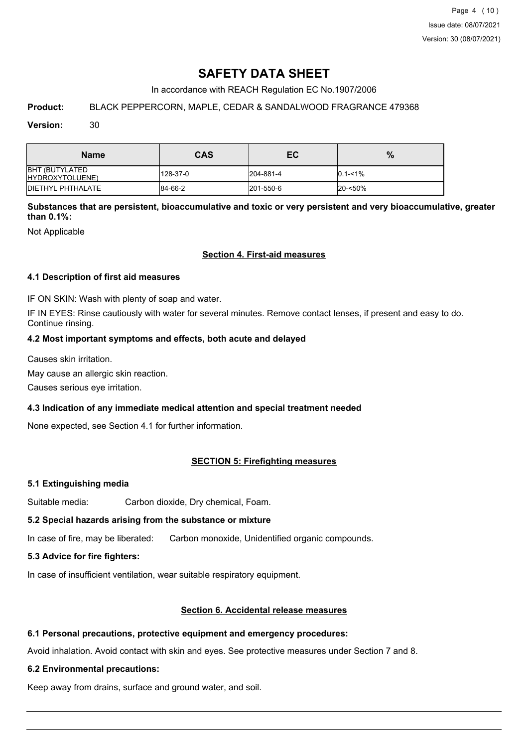In accordance with REACH Regulation EC No.1907/2006

## **Product:** BLACK PEPPERCORN, MAPLE, CEDAR & SANDALWOOD FRAGRANCE 479368

### **Version:** 30

| <b>Name</b>                              | <b>CAS</b> | ЕC        | %           |
|------------------------------------------|------------|-----------|-------------|
| <b>BHT (BUTYLATED</b><br>HYDROXYTOLUENE) | 128-37-0   | 204-881-4 | $0.1 - 1\%$ |
| <b>IDIETHYL PHTHALATE</b>                | 84-66-2    | 201-550-6 | 20-<50%     |

**Substances that are persistent, bioaccumulative and toxic or very persistent and very bioaccumulative, greater than 0.1%:**

Not Applicable

## **Section 4. First-aid measures**

## **4.1 Description of first aid measures**

IF ON SKIN: Wash with plenty of soap and water.

IF IN EYES: Rinse cautiously with water for several minutes. Remove contact lenses, if present and easy to do. Continue rinsing.

## **4.2 Most important symptoms and effects, both acute and delayed**

Causes skin irritation.

May cause an allergic skin reaction.

Causes serious eye irritation.

## **4.3 Indication of any immediate medical attention and special treatment needed**

None expected, see Section 4.1 for further information.

## **SECTION 5: Firefighting measures**

#### **5.1 Extinguishing media**

Suitable media: Carbon dioxide, Dry chemical, Foam.

## **5.2 Special hazards arising from the substance or mixture**

In case of fire, may be liberated: Carbon monoxide, Unidentified organic compounds.

## **5.3 Advice for fire fighters:**

In case of insufficient ventilation, wear suitable respiratory equipment.

## **Section 6. Accidental release measures**

## **6.1 Personal precautions, protective equipment and emergency procedures:**

Avoid inhalation. Avoid contact with skin and eyes. See protective measures under Section 7 and 8.

#### **6.2 Environmental precautions:**

Keep away from drains, surface and ground water, and soil.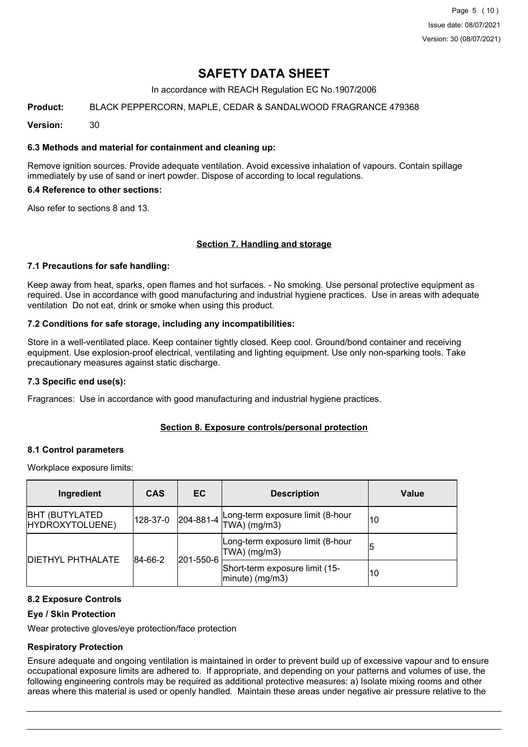In accordance with REACH Regulation EC No.1907/2006

## **Product:** BLACK PEPPERCORN, MAPLE, CEDAR & SANDALWOOD FRAGRANCE 479368

**Version:** 30

## **6.3 Methods and material for containment and cleaning up:**

Remove ignition sources. Provide adequate ventilation. Avoid excessive inhalation of vapours. Contain spillage immediately by use of sand or inert powder. Dispose of according to local regulations.

## **6.4 Reference to other sections:**

Also refer to sections 8 and 13.

## **Section 7. Handling and storage**

#### **7.1 Precautions for safe handling:**

Keep away from heat, sparks, open flames and hot surfaces. - No smoking. Use personal protective equipment as required. Use in accordance with good manufacturing and industrial hygiene practices. Use in areas with adequate ventilation Do not eat, drink or smoke when using this product.

## **7.2 Conditions for safe storage, including any incompatibilities:**

Store in a well-ventilated place. Keep container tightly closed. Keep cool. Ground/bond container and receiving equipment. Use explosion-proof electrical, ventilating and lighting equipment. Use only non-sparking tools. Take precautionary measures against static discharge.

#### **7.3 Specific end use(s):**

Fragrances: Use in accordance with good manufacturing and industrial hygiene practices.

## **Section 8. Exposure controls/personal protection**

#### **8.1 Control parameters**

Workplace exposure limits:

| Ingredient                                | <b>CAS</b>           | EC.       | <b>Description</b>                                   | Value |
|-------------------------------------------|----------------------|-----------|------------------------------------------------------|-------|
| <b>BHT (BUTYLATED)</b><br>HYDROXYTOLUENE) | 128-37-0             | 204-881-4 | Long-term exposure limit (8-hour<br>$TWA)$ (mg/m3)   | 10    |
| <b>DIETHYL PHTHALATE</b>                  | 84-66-2<br>201-550-6 |           | Long-term exposure limit (8-hour<br>TWA) (mg/m3)     | 15    |
|                                           |                      |           | Short-term exposure limit (15-<br>$ minute)$ (mg/m3) | 10    |

## **8.2 Exposure Controls**

#### **Eye / Skin Protection**

Wear protective gloves/eye protection/face protection

## **Respiratory Protection**

Ensure adequate and ongoing ventilation is maintained in order to prevent build up of excessive vapour and to ensure occupational exposure limits are adhered to. If appropriate, and depending on your patterns and volumes of use, the following engineering controls may be required as additional protective measures: a) Isolate mixing rooms and other areas where this material is used or openly handled. Maintain these areas under negative air pressure relative to the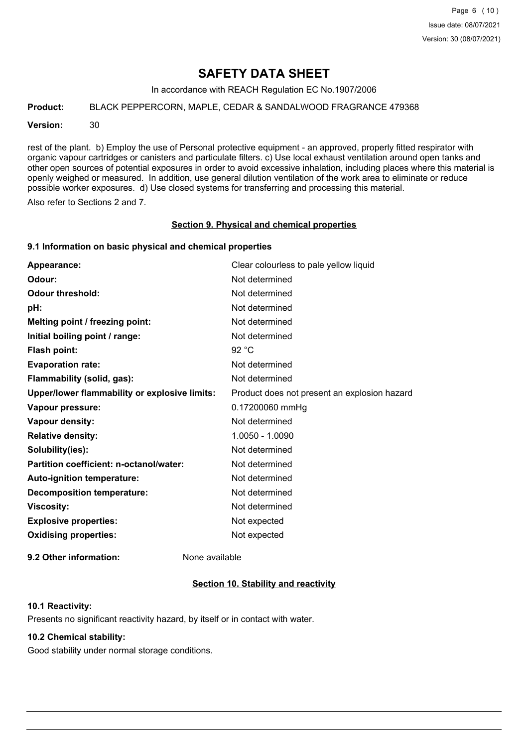In accordance with REACH Regulation EC No.1907/2006

**Product:** BLACK PEPPERCORN, MAPLE, CEDAR & SANDALWOOD FRAGRANCE 479368

**Version:** 30

rest of the plant. b) Employ the use of Personal protective equipment - an approved, properly fitted respirator with organic vapour cartridges or canisters and particulate filters. c) Use local exhaust ventilation around open tanks and other open sources of potential exposures in order to avoid excessive inhalation, including places where this material is openly weighed or measured. In addition, use general dilution ventilation of the work area to eliminate or reduce possible worker exposures. d) Use closed systems for transferring and processing this material.

Also refer to Sections 2 and 7.

#### **Section 9. Physical and chemical properties**

#### **9.1 Information on basic physical and chemical properties**

| Appearance:                                          | Clear colourless to pale yellow liquid       |
|------------------------------------------------------|----------------------------------------------|
| Odour:                                               | Not determined                               |
| <b>Odour threshold:</b>                              | Not determined                               |
| pH:                                                  | Not determined                               |
| Melting point / freezing point:                      | Not determined                               |
| Initial boiling point / range:                       | Not determined                               |
| <b>Flash point:</b>                                  | 92 °C                                        |
| <b>Evaporation rate:</b>                             | Not determined                               |
| Flammability (solid, gas):                           | Not determined                               |
| <b>Upper/lower flammability or explosive limits:</b> | Product does not present an explosion hazard |
| Vapour pressure:                                     | 0.17200060 mmHg                              |
| <b>Vapour density:</b>                               | Not determined                               |
| <b>Relative density:</b>                             | 1.0050 - 1.0090                              |
| Solubility(ies):                                     | Not determined                               |
| Partition coefficient: n-octanol/water:              | Not determined                               |
| Auto-ignition temperature:                           | Not determined                               |
| <b>Decomposition temperature:</b>                    | Not determined                               |
| <b>Viscosity:</b>                                    | Not determined                               |
| <b>Explosive properties:</b>                         | Not expected                                 |
| <b>Oxidising properties:</b>                         | Not expected                                 |
|                                                      |                                              |

**9.2 Other information:** None available

## **Section 10. Stability and reactivity**

## **10.1 Reactivity:**

Presents no significant reactivity hazard, by itself or in contact with water.

## **10.2 Chemical stability:**

Good stability under normal storage conditions.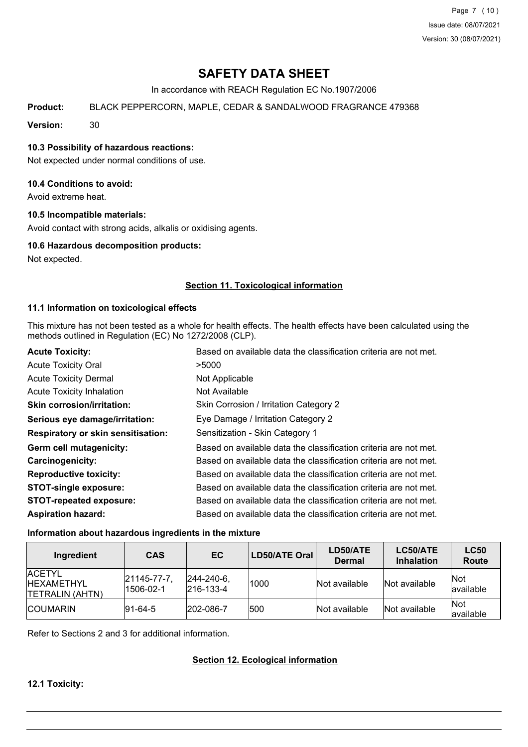Page 7 (10) Issue date: 08/07/2021 Version: 30 (08/07/2021)

# **SAFETY DATA SHEET**

In accordance with REACH Regulation EC No.1907/2006

**Product:** BLACK PEPPERCORN, MAPLE, CEDAR & SANDALWOOD FRAGRANCE 479368

**Version:** 30

## **10.3 Possibility of hazardous reactions:**

Not expected under normal conditions of use.

## **10.4 Conditions to avoid:**

Avoid extreme heat.

#### **10.5 Incompatible materials:**

Avoid contact with strong acids, alkalis or oxidising agents.

#### **10.6 Hazardous decomposition products:**

Not expected.

## **Section 11. Toxicological information**

#### **11.1 Information on toxicological effects**

This mixture has not been tested as a whole for health effects. The health effects have been calculated using the methods outlined in Regulation (EC) No 1272/2008 (CLP).

| <b>Acute Toxicity:</b>                    | Based on available data the classification criteria are not met. |
|-------------------------------------------|------------------------------------------------------------------|
| <b>Acute Toxicity Oral</b>                | >5000                                                            |
| <b>Acute Toxicity Dermal</b>              | Not Applicable                                                   |
| <b>Acute Toxicity Inhalation</b>          | Not Available                                                    |
| <b>Skin corrosion/irritation:</b>         | Skin Corrosion / Irritation Category 2                           |
| Serious eye damage/irritation:            | Eye Damage / Irritation Category 2                               |
| <b>Respiratory or skin sensitisation:</b> | Sensitization - Skin Category 1                                  |
| Germ cell mutagenicity:                   | Based on available data the classification criteria are not met. |
| <b>Carcinogenicity:</b>                   | Based on available data the classification criteria are not met. |
| <b>Reproductive toxicity:</b>             | Based on available data the classification criteria are not met. |
| <b>STOT-single exposure:</b>              | Based on available data the classification criteria are not met. |
| <b>STOT-repeated exposure:</b>            | Based on available data the classification criteria are not met. |
| <b>Aspiration hazard:</b>                 | Based on available data the classification criteria are not met. |

#### **Information about hazardous ingredients in the mixture**

| Ingredient                                                     | <b>CAS</b>               | EC                                     | LD50/ATE Oral | LD50/ATE<br><b>Dermal</b> | LC50/ATE<br><b>Inhalation</b> | <b>LC50</b><br><b>Route</b> |
|----------------------------------------------------------------|--------------------------|----------------------------------------|---------------|---------------------------|-------------------------------|-----------------------------|
| <b>ACETYL</b><br><b>IHEXAMETHYL</b><br><b>ITETRALIN (AHTN)</b> | 21145-77-7,<br>1506-02-1 | $ 244 - 240 - 6 $<br>$ 216 - 133 - 4 $ | 1000          | Not available             | Not available                 | Not<br>available            |
| <b>ICOUMARIN</b>                                               | $ 91 - 64 - 5 $          | 202-086-7                              | 1500          | Not available             | Not available                 | <b>Not</b><br>available     |

Refer to Sections 2 and 3 for additional information.

## **Section 12. Ecological information**

**12.1 Toxicity:**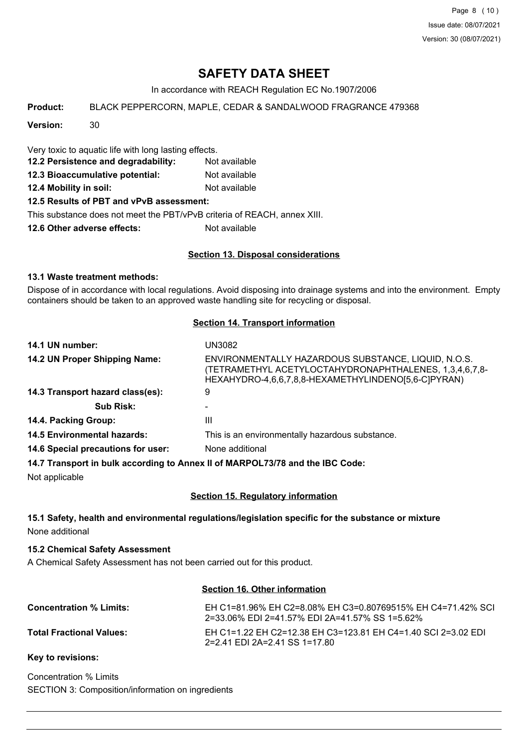Page 8 (10) Issue date: 08/07/2021 Version: 30 (08/07/2021)

# **SAFETY DATA SHEET**

In accordance with REACH Regulation EC No.1907/2006

**Product:** BLACK PEPPERCORN, MAPLE, CEDAR & SANDALWOOD FRAGRANCE 479368

**Version:** 30

Very toxic to aquatic life with long lasting effects.

- **12.2 Persistence and degradability:** Not available
- **12.3 Bioaccumulative potential:** Not available
- **12.4 Mobility in soil:** Not available

## **12.5 Results of PBT and vPvB assessment:**

This substance does not meet the PBT/vPvB criteria of REACH, annex XIII.

**12.6 Other adverse effects:** Not available

## **Section 13. Disposal considerations**

## **13.1 Waste treatment methods:**

Dispose of in accordance with local regulations. Avoid disposing into drainage systems and into the environment. Empty containers should be taken to an approved waste handling site for recycling or disposal.

## **Section 14. Transport information**

| 14.1 UN number:                           | UN3082                                                                                                                                                               |
|-------------------------------------------|----------------------------------------------------------------------------------------------------------------------------------------------------------------------|
| 14.2 UN Proper Shipping Name:             | ENVIRONMENTALLY HAZARDOUS SUBSTANCE, LIQUID, N.O.S.<br>(TETRAMETHYL ACETYLOCTAHYDRONAPHTHALENES, 1,3,4,6,7,8-<br>HEXAHYDRO-4,6,6,7,8,8-HEXAMETHYLINDENO[5,6-C]PYRAN) |
| 14.3 Transport hazard class(es):          | 9                                                                                                                                                                    |
| <b>Sub Risk:</b>                          |                                                                                                                                                                      |
| 14.4. Packing Group:                      | Ш                                                                                                                                                                    |
| <b>14.5 Environmental hazards:</b>        | This is an environmentally hazardous substance.                                                                                                                      |
| <b>14.6 Special precautions for user:</b> | None additional                                                                                                                                                      |
|                                           | 14.7 Transport in bulk according to Anney II of MARPOL 73/78 and the IRC Code:                                                                                       |

**14.7 Transport in bulk according to Annex II of MARPOL73/78 and the IBC Code:**

Not applicable

## **Section 15. Regulatory information**

## **15.1 Safety, health and environmental regulations/legislation specific for the substance or mixture** None additional

## **15.2 Chemical Safety Assessment**

A Chemical Safety Assessment has not been carried out for this product.

## **Section 16. Other information**

| <b>Concentration % Limits:</b>  | EH C1=81.96% EH C2=8.08% EH C3=0.80769515% EH C4=71.42% SCL<br>2=33.06% EDI 2=41.57% EDI 2A=41.57% SS 1=5.62% |
|---------------------------------|---------------------------------------------------------------------------------------------------------------|
| <b>Total Fractional Values:</b> | EH C1=1.22 EH C2=12.38 EH C3=123.81 EH C4=1.40 SCI 2=3.02 EDI<br>2=2.41 EDI 2A=2.41 SS 1=17.80                |

## **Key to revisions:**

Concentration % Limits SECTION 3: Composition/information on ingredients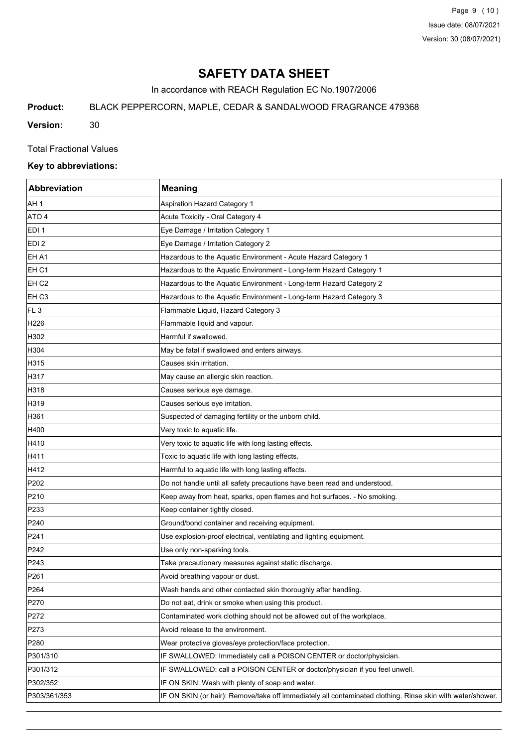Page 9 (10) Issue date: 08/07/2021 Version: 30 (08/07/2021)

# **SAFETY DATA SHEET**

In accordance with REACH Regulation EC No.1907/2006

**Product:** BLACK PEPPERCORN, MAPLE, CEDAR & SANDALWOOD FRAGRANCE 479368

**Version:** 30

Total Fractional Values

## **Key to abbreviations:**

| <b>Abbreviation</b> | <b>Meaning</b>                                                                                             |
|---------------------|------------------------------------------------------------------------------------------------------------|
| AH 1                | Aspiration Hazard Category 1                                                                               |
| ATO 4               | Acute Toxicity - Oral Category 4                                                                           |
| EDI <sub>1</sub>    | Eye Damage / Irritation Category 1                                                                         |
| EDI <sub>2</sub>    | Eye Damage / Irritation Category 2                                                                         |
| EH A1               | Hazardous to the Aquatic Environment - Acute Hazard Category 1                                             |
| EH C1               | Hazardous to the Aquatic Environment - Long-term Hazard Category 1                                         |
| EH <sub>C2</sub>    | Hazardous to the Aquatic Environment - Long-term Hazard Category 2                                         |
| EH <sub>C3</sub>    | Hazardous to the Aquatic Environment - Long-term Hazard Category 3                                         |
| FL <sub>3</sub>     | Flammable Liquid, Hazard Category 3                                                                        |
| H226                | Flammable liquid and vapour.                                                                               |
| H302                | Harmful if swallowed.                                                                                      |
| H304                | May be fatal if swallowed and enters airways.                                                              |
| H315                | Causes skin irritation.                                                                                    |
| H317                | May cause an allergic skin reaction.                                                                       |
| H318                | Causes serious eye damage.                                                                                 |
| H319                | Causes serious eye irritation.                                                                             |
| H361                | Suspected of damaging fertility or the unborn child.                                                       |
| H400                | Very toxic to aquatic life.                                                                                |
| H410                | Very toxic to aquatic life with long lasting effects.                                                      |
| H411                | Toxic to aquatic life with long lasting effects.                                                           |
| H412                | Harmful to aquatic life with long lasting effects.                                                         |
| P202                | Do not handle until all safety precautions have been read and understood.                                  |
| P210                | Keep away from heat, sparks, open flames and hot surfaces. - No smoking.                                   |
| P233                | Keep container tightly closed.                                                                             |
| P240                | Ground/bond container and receiving equipment.                                                             |
| P241                | Use explosion-proof electrical, ventilating and lighting equipment.                                        |
| P242                | Use only non-sparking tools.                                                                               |
| P243                | Take precautionary measures against static discharge.                                                      |
| P <sub>261</sub>    | Avoid breathing vapour or dust.                                                                            |
| P264                | Wash hands and other contacted skin thoroughly after handling.                                             |
| P270                | Do not eat, drink or smoke when using this product.                                                        |
| P272                | Contaminated work clothing should not be allowed out of the workplace.                                     |
| P273                | Avoid release to the environment.                                                                          |
| P280                | Wear protective gloves/eye protection/face protection.                                                     |
| P301/310            | IF SWALLOWED: Immediately call a POISON CENTER or doctor/physician.                                        |
| P301/312            | IF SWALLOWED: call a POISON CENTER or doctor/physician if you feel unwell.                                 |
| P302/352            | IF ON SKIN: Wash with plenty of soap and water.                                                            |
| P303/361/353        | IF ON SKIN (or hair): Remove/take off immediately all contaminated clothing. Rinse skin with water/shower. |